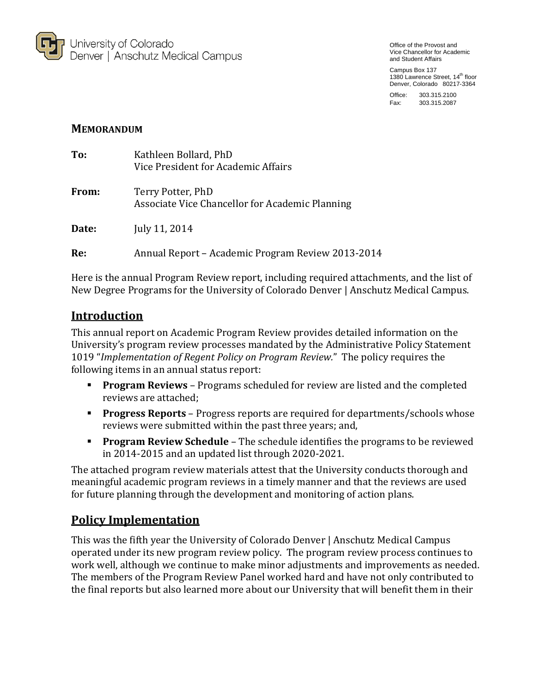

Office of the Provost and Vice Chancellor for Academic and Student Affairs

Campus Box 137 1380 Lawrence Street, 14<sup>th</sup> floor Denver, Colorado 80217-3364

Office: 303.315.2100 Fax: 303.315.2087

### **MEMORANDUM**

| To:   | Kathleen Bollard, PhD<br>Vice President for Academic Affairs         |
|-------|----------------------------------------------------------------------|
| From: | Terry Potter, PhD<br>Associate Vice Chancellor for Academic Planning |
| Date: | July 11, 2014                                                        |
| Re:   | Annual Report – Academic Program Review 2013-2014                    |

Here is the annual Program Review report, including required attachments, and the list of New Degree Programs for the University of Colorado Denver | Anschutz Medical Campus.

# **Introduction**

This annual report on Academic Program Review provides detailed information on the University's program review processes mandated by the Administrative Policy Statement 1019 "*Implementation of Regent Policy on Program Review.*" The policy requires the following items in an annual status report:

- **Program Reviews** Programs scheduled for review are listed and the completed reviews are attached;
- **Progress Reports** Progress reports are required for departments/schools whose reviews were submitted within the past three years; and,
- **Program Review Schedule** The schedule identifies the programs to be reviewed in 2014-2015 and an updated list through 2020-2021.

The attached program review materials attest that the University conducts thorough and meaningful academic program reviews in a timely manner and that the reviews are used for future planning through the development and monitoring of action plans.

# **Policy Implementation**

This was the fifth year the University of Colorado Denver | Anschutz Medical Campus operated under its new program review policy. The program review process continues to work well, although we continue to make minor adjustments and improvements as needed. The members of the Program Review Panel worked hard and have not only contributed to the final reports but also learned more about our University that will benefit them in their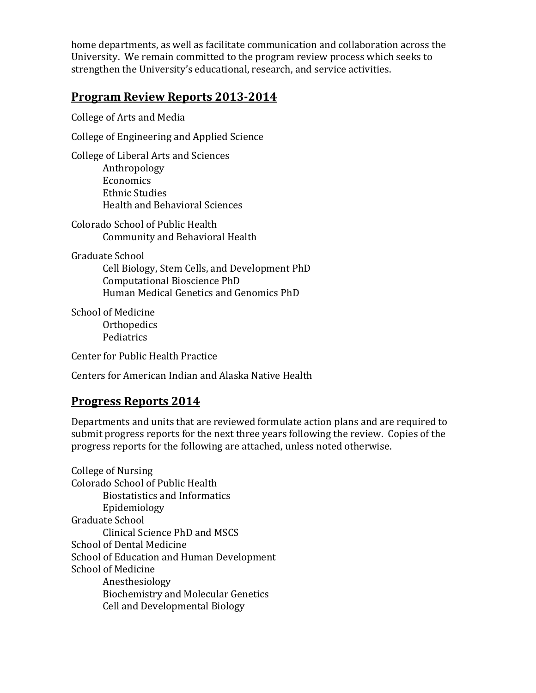home departments, as well as facilitate communication and collaboration across the University. We remain committed to the program review process which seeks to strengthen the University's educational, research, and service activities.

# **Program Review Reports 2013-2014**

College of Arts and Media

College of Engineering and Applied Science

College of Liberal Arts and Sciences Anthropology Economics Ethnic Studies Health and Behavioral Sciences

Colorado School of Public Health Community and Behavioral Health

Graduate School

Cell Biology, Stem Cells, and Development PhD Computational Bioscience PhD Human Medical Genetics and Genomics PhD

School of Medicine **Orthopedics** Pediatrics

Center for Public Health Practice

Centers for American Indian and Alaska Native Health

## **Progress Reports 2014**

Departments and units that are reviewed formulate action plans and are required to submit progress reports for the next three years following the review. Copies of the progress reports for the following are attached, unless noted otherwise.

College of Nursing Colorado School of Public Health Biostatistics and Informatics Epidemiology Graduate School Clinical Science PhD and MSCS School of Dental Medicine School of Education and Human Development School of Medicine Anesthesiology Biochemistry and Molecular Genetics Cell and Developmental Biology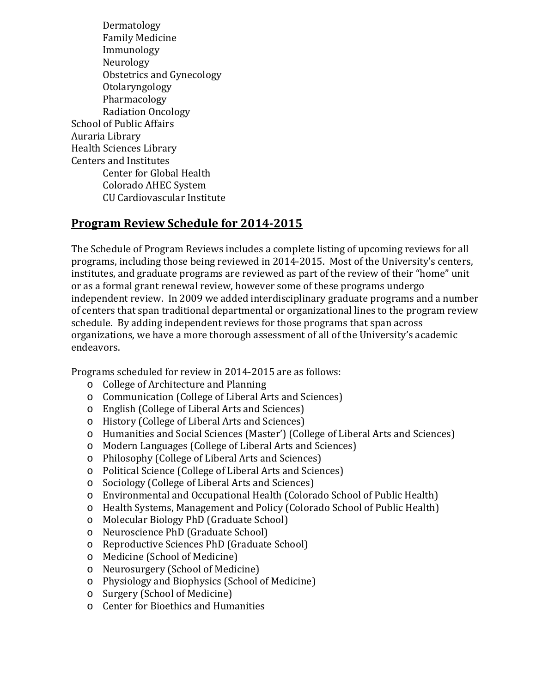Dermatology Family Medicine Immunology Neurology Obstetrics and Gynecology Otolaryngology Pharmacology Radiation Oncology School of Public Affairs Auraria Library Health Sciences Library Centers and Institutes Center for Global Health Colorado AHEC System CU Cardiovascular Institute

# **Program Review Schedule for 2014-2015**

The Schedule of Program Reviews includes a complete listing of upcoming reviews for all programs, including those being reviewed in 2014-2015. Most of the University's centers, institutes, and graduate programs are reviewed as part of the review of their "home" unit or as a formal grant renewal review, however some of these programs undergo independent review. In 2009 we added interdisciplinary graduate programs and a number of centers that span traditional departmental or organizational lines to the program review schedule. By adding independent reviews for those programs that span across organizations, we have a more thorough assessment of all of the University's academic endeavors.

Programs scheduled for review in 2014-2015 are as follows:<br>  $\circ$  College of Architecture and Planning

- College of Architecture and Planning
- o Communication (College of Liberal Arts and Sciences)
- o English (College of Liberal Arts and Sciences)
- o History (College of Liberal Arts and Sciences)
- o Humanities and Social Sciences (Master') (College of Liberal Arts and Sciences)
- o Modern Languages (College of Liberal Arts and Sciences)
- o Philosophy (College of Liberal Arts and Sciences)
- o Political Science (College of Liberal Arts and Sciences)
- o Sociology (College of Liberal Arts and Sciences)
- o Environmental and Occupational Health (Colorado School of Public Health)
- o Health Systems, Management and Policy (Colorado School of Public Health)
- o Molecular Biology PhD (Graduate School)
- o Neuroscience PhD (Graduate School)
- o Reproductive Sciences PhD (Graduate School)
- o Medicine (School of Medicine)
- o Neurosurgery (School of Medicine)
- o Physiology and Biophysics (School of Medicine)
- o Surgery (School of Medicine)
- o Center for Bioethics and Humanities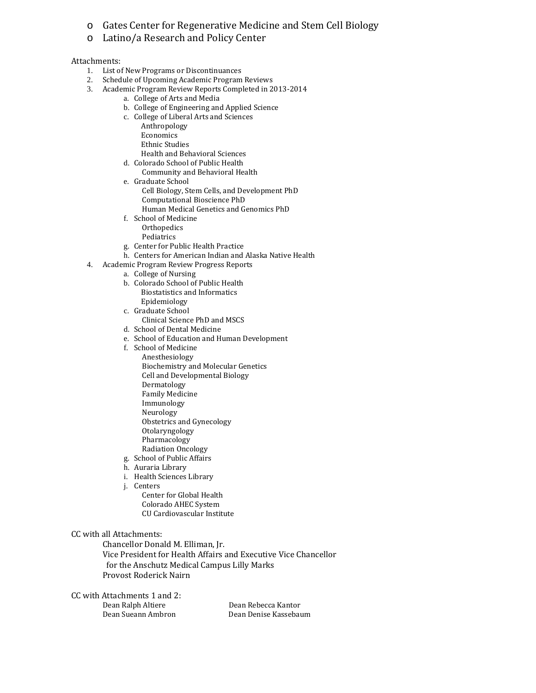- o Gates Center for Regenerative Medicine and Stem Cell Biology
- o Latino/a Research and Policy Center

#### Attachments:

- 1. List of New Programs or Discontinuances
- 2. Schedule of Upcoming Academic Program Reviews
- 3. Academic Program Review Reports Completed in 2013-2014
	- a. College of Arts and Media
	- b. College of Engineering and Applied Science
	- c. College of Liberal Arts and Sciences
		- Anthropology
		- Economics Ethnic Studies
		- Health and Behavioral Sciences
	- d. Colorado School of Public Health
	- Community and Behavioral Health
	- e. Graduate School Cell Biology, Stem Cells, and Development PhD Computational Bioscience PhD Human Medical Genetics and Genomics PhD
	- f. School of Medicine **Orthopedics** Pediatrics
	- g. Center for Public Health Practice
	- h. Centers for American Indian and Alaska Native Health
- 4. Academic Program Review Progress Reports
	- a. College of Nursing
	- b. Colorado School of Public Health Biostatistics and Informatics Epidemiology
	- c. Graduate School
		- Clinical Science PhD and MSCS
	- d. School of Dental Medicine
	- e. School of Education and Human Development
	- f. School of Medicine
		- Anesthesiology Biochemistry and Molecular Genetics Cell and Developmental Biology Dermatology Family Medicine Immunology Neurology Obstetrics and Gynecology Otolaryngology Pharmacology Radiation Oncology
	- g. School of Public Affairs
	- h. Auraria Library
	- i. Health Sciences Library
	- j. Centers
		- Center for Global Health Colorado AHEC System CU Cardiovascular Institute

#### CC with all Attachments:

Chancellor Donald M. Elliman, Jr. Vice President for Health Affairs and Executive Vice Chancellor for the Anschutz Medical Campus Lilly Marks Provost Roderick Nairn

CC with Attachments 1 and 2: Dean Sueann Ambron

Dean Ralph Altiere **Dean Rebecca Kantor**<br>Dean Sueann Ambron **Dean Dean Denise Kassebaum**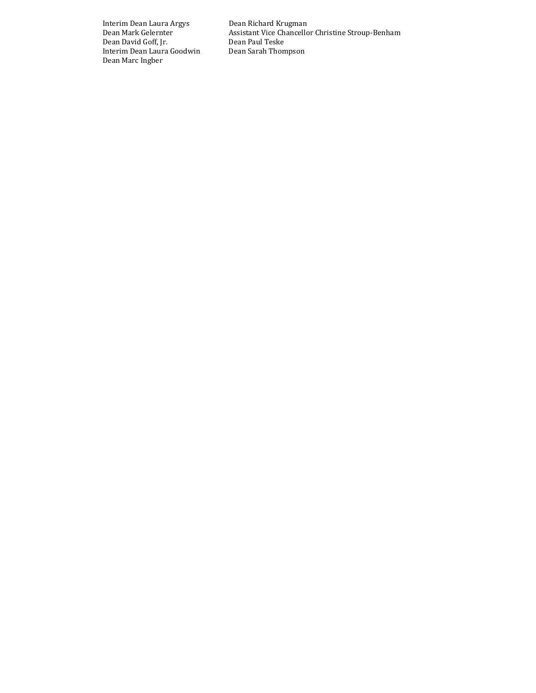Interim Dean Laura Argys Dean Richard Krugman Dean David Goff, Jr. Dean Paul Teske Interim Dean Laura Goodwin Dean Marc Ingber

Assistant Vice Chancellor Christine Stroup-Benham Dean Paul Teske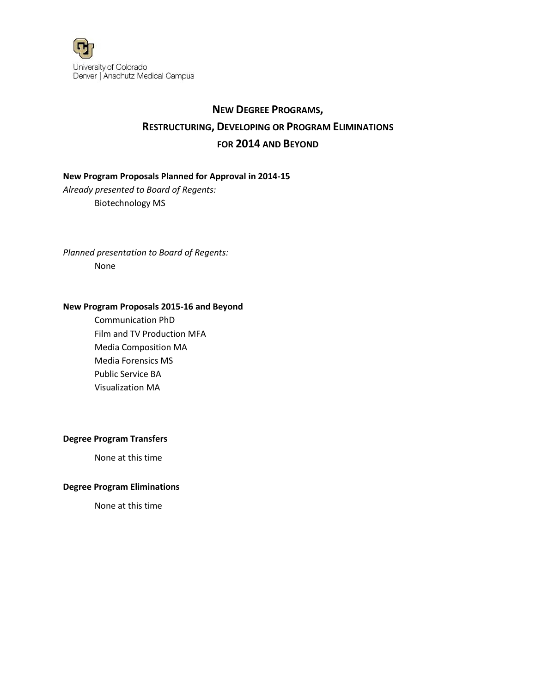

# **NEW DEGREE PROGRAMS, RESTRUCTURING, DEVELOPING OR PROGRAM ELIMINATIONS FOR 2014 AND BEYOND**

### **New Program Proposals Planned for Approval in 2014-15**

*Already presented to Board of Regents:* Biotechnology MS

*Planned presentation to Board of Regents:* None

#### **New Program Proposals 2015-16 and Beyond**

Communication PhD Film and TV Production MFA Media Composition MA Media Forensics MS Public Service BA Visualization MA

### **Degree Program Transfers**

None at this time

### **Degree Program Eliminations**

None at this time